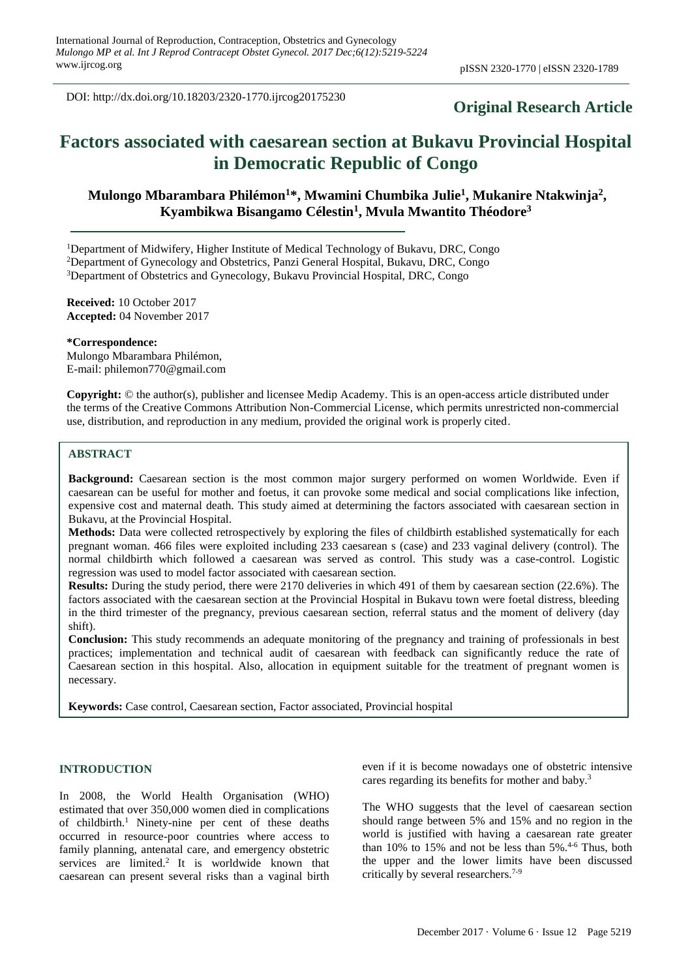DOI: http://dx.doi.org/10.18203/2320-1770.ijrcog20175230

# **Original Research Article**

# **Factors associated with caesarean section at Bukavu Provincial Hospital in Democratic Republic of Congo**

**Mulongo Mbarambara Philémon<sup>1</sup>\*, Mwamini Chumbika Julie<sup>1</sup> , Mukanire Ntakwinja<sup>2</sup> , Kyambikwa Bisangamo Célestin<sup>1</sup> , Mvula Mwantito Théodore<sup>3</sup>**

<sup>1</sup>Department of Midwifery, Higher Institute of Medical Technology of Bukavu, DRC, Congo <sup>2</sup>Department of Gynecology and Obstetrics, Panzi General Hospital, Bukavu, DRC, Congo <sup>3</sup>Department of Obstetrics and Gynecology, Bukavu Provincial Hospital, DRC, Congo

**Received:** 10 October 2017 **Accepted:** 04 November 2017

#### **\*Correspondence:**

Mulongo Mbarambara Philémon, E-mail: philemon770@gmail.com

**Copyright:** © the author(s), publisher and licensee Medip Academy. This is an open-access article distributed under the terms of the Creative Commons Attribution Non-Commercial License, which permits unrestricted non-commercial use, distribution, and reproduction in any medium, provided the original work is properly cited.

#### **ABSTRACT**

**Background:** Caesarean section is the most common major surgery performed on women Worldwide. Even if caesarean can be useful for mother and foetus, it can provoke some medical and social complications like infection, expensive cost and maternal death. This study aimed at determining the factors associated with caesarean section in Bukavu, at the Provincial Hospital.

**Methods:** Data were collected retrospectively by exploring the files of childbirth established systematically for each pregnant woman. 466 files were exploited including 233 caesarean s (case) and 233 vaginal delivery (control). The normal childbirth which followed a caesarean was served as control. This study was a case-control. Logistic regression was used to model factor associated with caesarean section.

**Results:** During the study period, there were 2170 deliveries in which 491 of them by caesarean section (22.6%). The factors associated with the caesarean section at the Provincial Hospital in Bukavu town were foetal distress, bleeding in the third trimester of the pregnancy, previous caesarean section, referral status and the moment of delivery (day shift).

**Conclusion:** This study recommends an adequate monitoring of the pregnancy and training of professionals in best practices; implementation and technical audit of caesarean with feedback can significantly reduce the rate of Caesarean section in this hospital. Also, allocation in equipment suitable for the treatment of pregnant women is necessary.

**Keywords:** Case control, Caesarean section, Factor associated, Provincial hospital

#### **INTRODUCTION**

In 2008, the World Health Organisation (WHO) estimated that over 350,000 women died in complications of childbirth.<sup>1</sup> Ninety-nine per cent of these deaths occurred in resource-poor countries where access to family planning, antenatal care, and emergency obstetric services are limited.<sup>2</sup> It is worldwide known that caesarean can present several risks than a vaginal birth even if it is become nowadays one of obstetric intensive cares regarding its benefits for mother and baby.<sup>3</sup>

The WHO suggests that the level of caesarean section should range between 5% and 15% and no region in the world is justified with having a caesarean rate greater than 10% to 15% and not be less than  $5\%$ .<sup>4-6</sup> Thus, both the upper and the lower limits have been discussed critically by several researchers.7-9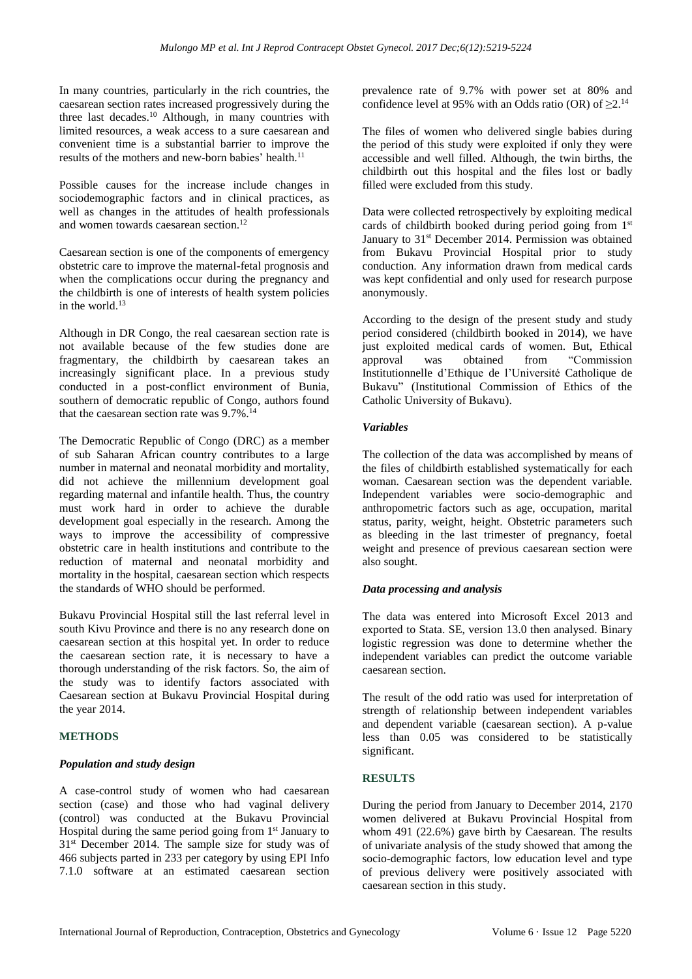In many countries, particularly in the rich countries, the caesarean section rates increased progressively during the three last decades.<sup>10</sup> Although, in many countries with limited resources, a weak access to a sure caesarean and convenient time is a substantial barrier to improve the results of the mothers and new-born babies' health.<sup>11</sup>

Possible causes for the increase include changes in sociodemographic factors and in clinical practices, as well as changes in the attitudes of health professionals and women towards caesarean section. 12

Caesarean section is one of the components of emergency obstetric care to improve the maternal-fetal prognosis and when the complications occur during the pregnancy and the childbirth is one of interests of health system policies in the world.<sup>13</sup>

Although in DR Congo, the real caesarean section rate is not available because of the few studies done are fragmentary, the childbirth by caesarean takes an increasingly significant place. In a previous study conducted in a post‐conflict environment of Bunia, southern of democratic republic of Congo, authors found that the caesarean section rate was  $9.7\%$ .<sup>14</sup>

The Democratic Republic of Congo (DRC) as a member of sub Saharan African country contributes to a large number in maternal and neonatal morbidity and mortality, did not achieve the millennium development goal regarding maternal and infantile health. Thus, the country must work hard in order to achieve the durable development goal especially in the research. Among the ways to improve the accessibility of compressive obstetric care in health institutions and contribute to the reduction of maternal and neonatal morbidity and mortality in the hospital, caesarean section which respects the standards of WHO should be performed.

Bukavu Provincial Hospital still the last referral level in south Kivu Province and there is no any research done on caesarean section at this hospital yet. In order to reduce the caesarean section rate, it is necessary to have a thorough understanding of the risk factors. So, the aim of the study was to identify factors associated with Caesarean section at Bukavu Provincial Hospital during the year 2014.

# **METHODS**

#### *Population and study design*

A case-control study of women who had caesarean section (case) and those who had vaginal delivery (control) was conducted at the Bukavu Provincial Hospital during the same period going from  $1<sup>st</sup>$  January to 31st December 2014. The sample size for study was of 466 subjects parted in 233 per category by using EPI Info 7.1.0 software at an estimated caesarean section prevalence rate of 9.7% with power set at 80% and confidence level at 95% with an Odds ratio (OR) of  $\geq 2$ .<sup>14</sup>

The files of women who delivered single babies during the period of this study were exploited if only they were accessible and well filled. Although, the twin births, the childbirth out this hospital and the files lost or badly filled were excluded from this study.

Data were collected retrospectively by exploiting medical cards of childbirth booked during period going from 1st January to 31<sup>st</sup> December 2014. Permission was obtained from Bukavu Provincial Hospital prior to study conduction. Any information drawn from medical cards was kept confidential and only used for research purpose anonymously.

According to the design of the present study and study period considered (childbirth booked in 2014), we have just exploited medical cards of women. But, Ethical approval was obtained from "Commission Institutionnelle d'Ethique de l'Université Catholique de Bukavu" (Institutional Commission of Ethics of the Catholic University of Bukavu).

#### *Variables*

The collection of the data was accomplished by means of the files of childbirth established systematically for each woman. Caesarean section was the dependent variable. Independent variables were socio-demographic and anthropometric factors such as age, occupation, marital status, parity, weight, height. Obstetric parameters such as bleeding in the last trimester of pregnancy, foetal weight and presence of previous caesarean section were also sought.

#### *Data processing and analysis*

The data was entered into Microsoft Excel 2013 and exported to Stata. SE, version 13.0 then analysed. Binary logistic regression was done to determine whether the independent variables can predict the outcome variable caesarean section.

The result of the odd ratio was used for interpretation of strength of relationship between independent variables and dependent variable (caesarean section). A p-value less than 0.05 was considered to be statistically significant.

#### **RESULTS**

During the period from January to December 2014, 2170 women delivered at Bukavu Provincial Hospital from whom 491 (22.6%) gave birth by Caesarean. The results of univariate analysis of the study showed that among the socio-demographic factors, low education level and type of previous delivery were positively associated with caesarean section in this study.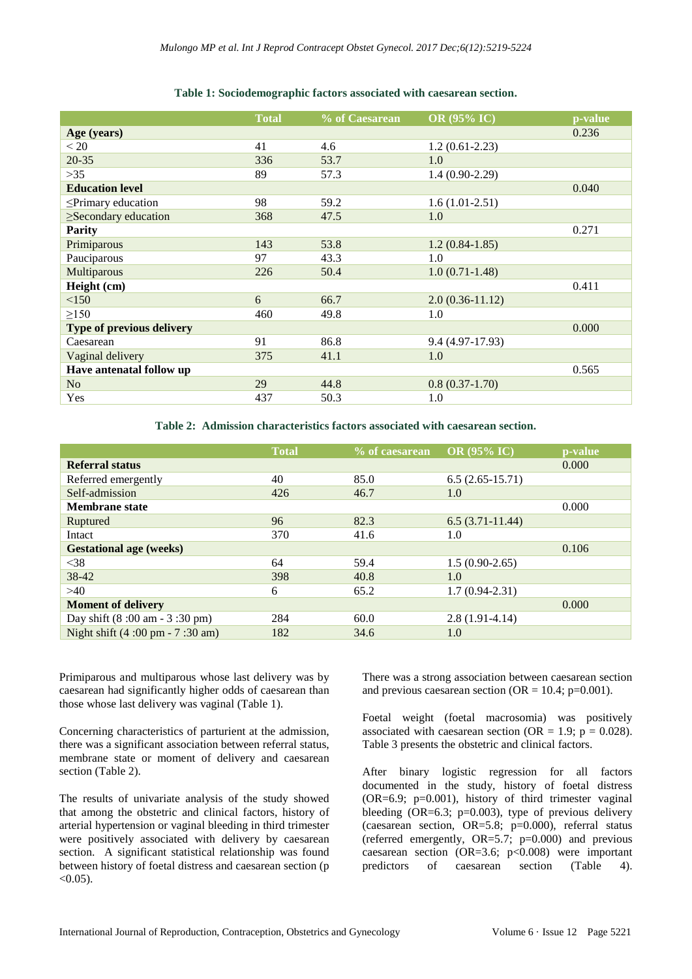|                                  | <b>Total</b> | % of Caesarean | <b>OR (95% IC)</b>  | p-value |
|----------------------------------|--------------|----------------|---------------------|---------|
| Age (years)                      |              |                |                     | 0.236   |
| $\leq$ 20                        | 41           | 4.6            | $1.2(0.61-2.23)$    |         |
| $20 - 35$                        | 336          | 53.7           | 1.0                 |         |
| $>35$                            | 89           | 57.3           | $1.4(0.90-2.29)$    |         |
| <b>Education level</b>           |              |                |                     | 0.040   |
| $\leq$ Primary education         | 98           | 59.2           | $1.6(1.01-2.51)$    |         |
| $\geq$ Secondary education       | 368          | 47.5           | 1.0                 |         |
| <b>Parity</b>                    |              |                |                     | 0.271   |
| Primiparous                      | 143          | 53.8           | $1.2(0.84-1.85)$    |         |
| Pauciparous                      | 97           | 43.3           | 1.0                 |         |
| Multiparous                      | 226          | 50.4           | $1.0(0.71-1.48)$    |         |
| Height (cm)                      |              |                |                     | 0.411   |
| <150                             | 6            | 66.7           | $2.0(0.36 - 11.12)$ |         |
| $\geq$ 150                       | 460          | 49.8           | 1.0                 |         |
| <b>Type of previous delivery</b> |              |                |                     | 0.000   |
| Caesarean                        | 91           | 86.8           | 9.4 (4.97-17.93)    |         |
| Vaginal delivery                 | 375          | 41.1           | 1.0                 |         |
| Have antenatal follow up         |              |                |                     | 0.565   |
| N <sub>o</sub>                   | 29           | 44.8           | $0.8(0.37-1.70)$    |         |
| Yes                              | 437          | 50.3           | 1.0                 |         |
|                                  |              |                |                     |         |

#### **Table 1: Sociodemographic factors associated with caesarean section.**

**Table 2: Admission characteristics factors associated with caesarean section.**

|                                                 | <b>Total</b> | % of caesarean | OR (95% IC)        | p-value |
|-------------------------------------------------|--------------|----------------|--------------------|---------|
| Referral status                                 |              |                |                    | 0.000   |
| Referred emergently                             | 40           | 85.0           | $6.5(2.65-15.71)$  |         |
| Self-admission                                  | 426          | 46.7           | 1.0                |         |
| <b>Membrane state</b>                           |              |                |                    | 0.000   |
| Ruptured                                        | 96           | 82.3           | $6.5(3.71-11.44)$  |         |
| Intact                                          | 370          | 41.6           | 1.0                |         |
| <b>Gestational age (weeks)</b>                  |              |                |                    | 0.106   |
| $<$ 38                                          | 64           | 59.4           | $1.5(0.90-2.65)$   |         |
| 38-42                                           | 398          | 40.8           | 1.0                |         |
| >40                                             | 6            | 65.2           | $1.7(0.94 - 2.31)$ |         |
| <b>Moment of delivery</b>                       |              |                |                    | 0.000   |
| Day shift $(8:00 \text{ am} - 3:30 \text{ pm})$ | 284          | 60.0           | $2.8(1.91-4.14)$   |         |
| Night shift (4 :00 pm - 7 :30 am)               | 182          | 34.6           | 1.0                |         |

Primiparous and multiparous whose last delivery was by caesarean had significantly higher odds of caesarean than those whose last delivery was vaginal (Table 1).

Concerning characteristics of parturient at the admission, there was a significant association between referral status, membrane state or moment of delivery and caesarean section (Table 2).

The results of univariate analysis of the study showed that among the obstetric and clinical factors, history of arterial hypertension or vaginal bleeding in third trimester were positively associated with delivery by caesarean section. A significant statistical relationship was found between history of foetal distress and caesarean section (p  $< 0.05$ ).

There was a strong association between caesarean section and previous caesarean section ( $OR = 10.4$ ; p=0.001).

Foetal weight (foetal macrosomia) was positively associated with caesarean section (OR = 1.9;  $p = 0.028$ ). Table 3 presents the obstetric and clinical factors.

After binary logistic regression for all factors documented in the study, history of foetal distress (OR=6.9; p=0.001), history of third trimester vaginal bleeding (OR=6.3; p=0.003), type of previous delivery (caesarean section, OR=5.8; p=0.000), referral status (referred emergently,  $OR=5.7$ ;  $p=0.000$ ) and previous caesarean section  $(OR=3.6; p<0.008)$  were important predictors of caesarean section (Table 4).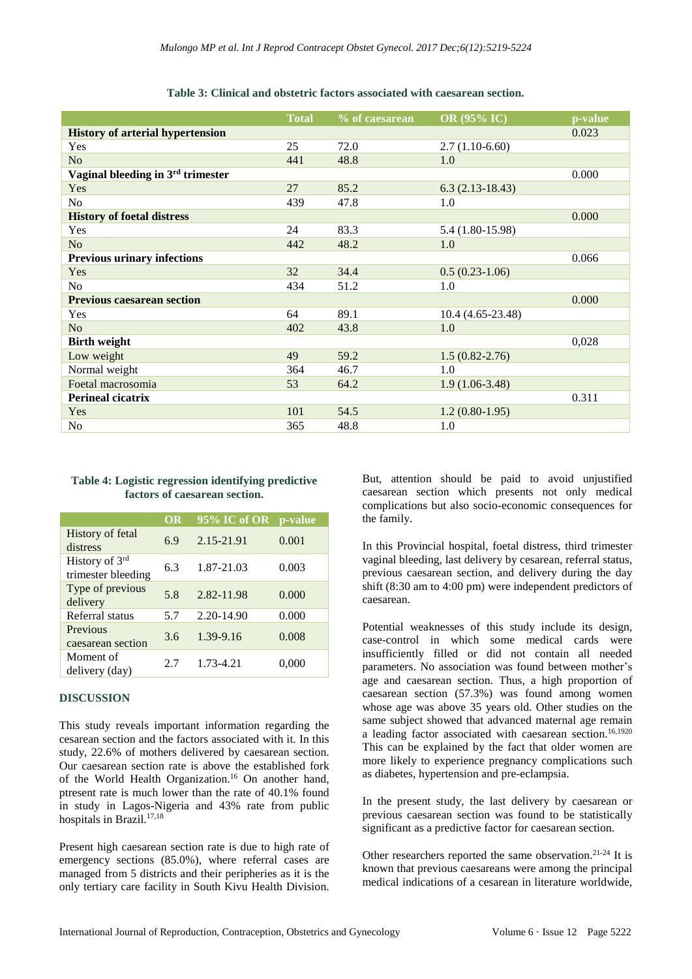|                                               | <b>Total</b> | % of caesarean | <b>OR (95% IC)</b> | p-value |
|-----------------------------------------------|--------------|----------------|--------------------|---------|
| <b>History of arterial hypertension</b>       |              |                |                    | 0.023   |
| <b>Yes</b>                                    | 25           | 72.0           | $2.7(1.10-6.60)$   |         |
| N <sub>o</sub>                                | 441          | 48.8           | 1.0                |         |
| Vaginal bleeding in 3 <sup>rd</sup> trimester |              |                |                    | 0.000   |
| Yes                                           | 27           | 85.2           | $6.3(2.13-18.43)$  |         |
| No                                            | 439          | 47.8           | 1.0                |         |
| <b>History of foetal distress</b>             |              |                |                    | 0.000   |
| Yes                                           | 24           | 83.3           | 5.4 (1.80-15.98)   |         |
| N <sub>o</sub>                                | 442          | 48.2           | 1.0                |         |
| <b>Previous urinary infections</b>            |              |                |                    | 0.066   |
| Yes                                           | 32           | 34.4           | $0.5(0.23-1.06)$   |         |
| No                                            | 434          | 51.2           | 1.0                |         |
| <b>Previous caesarean section</b>             |              |                |                    | 0.000   |
| Yes                                           | 64           | 89.1           | 10.4 (4.65-23.48)  |         |
| N <sub>o</sub>                                | 402          | 43.8           | 1.0                |         |
| <b>Birth weight</b>                           |              |                |                    | 0,028   |
| Low weight                                    | 49           | 59.2           | $1.5(0.82 - 2.76)$ |         |
| Normal weight                                 | 364          | 46.7           | 1.0                |         |
| Foetal macrosomia                             | 53           | 64.2           | $1.9(1.06-3.48)$   |         |
| <b>Perineal cicatrix</b>                      |              |                |                    | 0.311   |
| Yes                                           | 101          | 54.5           | $1.2(0.80-1.95)$   |         |
| No                                            | 365          | 48.8           | 1.0                |         |

**Table 3: Clinical and obstetric factors associated with caesarean section.**

#### **Table 4: Logistic regression identifying predictive factors of caesarean section.**

|                                      | <b>OR</b> | 95% IC of OR p-value |       |
|--------------------------------------|-----------|----------------------|-------|
| History of fetal<br>distress         | 6.9       | 2.15-21.91           | 0.001 |
| History of 3rd<br>trimester bleeding | 6.3       | 1.87-21.03           | 0.003 |
| Type of previous<br>delivery         | 5.8       | 2.82-11.98           | 0.000 |
| Referral status                      | 5.7       | 2.20-14.90           | 0.000 |
| Previous<br>caesarean section        | 3.6       | 1.39-9.16            | 0.008 |
| Moment of<br>delivery (day)          | 2.7       | 1.73-4.21            | 0.000 |

#### **DISCUSSION**

This study reveals important information regarding the cesarean section and the factors associated with it. In this study, 22.6% of mothers delivered by caesarean section. Our caesarean section rate is above the established fork of the World Health Organization.<sup>16</sup> On another hand, ptresent rate is much lower than the rate of 40.1% found in study in Lagos-Nigeria and 43% rate from public hospitals in Brazil. 17,18

Present high caesarean section rate is due to high rate of emergency sections (85.0%), where referral cases are managed from 5 districts and their peripheries as it is the only tertiary care facility in South Kivu Health Division. But, attention should be paid to avoid unjustified caesarean section which presents not only medical complications but also socio-economic consequences for the family.

In this Provincial hospital, foetal distress, third trimester vaginal bleeding, last delivery by cesarean, referral status, previous caesarean section, and delivery during the day shift (8:30 am to 4:00 pm) were independent predictors of caesarean.

Potential weaknesses of this study include its design, case-control in which some medical cards were insufficiently filled or did not contain all needed parameters. No association was found between mother's age and caesarean section. Thus, a high proportion of caesarean section (57.3%) was found among women whose age was above 35 years old. Other studies on the same subject showed that advanced maternal age remain a leading factor associated with caesarean section. 16,1920 This can be explained by the fact that older women are more likely to experience pregnancy complications such as diabetes, hypertension and pre-eclampsia.

In the present study, the last delivery by caesarean or previous caesarean section was found to be statistically significant as a predictive factor for caesarean section.

Other researchers reported the same observation. 21-24 It is known that previous caesareans were among the principal medical indications of a cesarean in literature worldwide,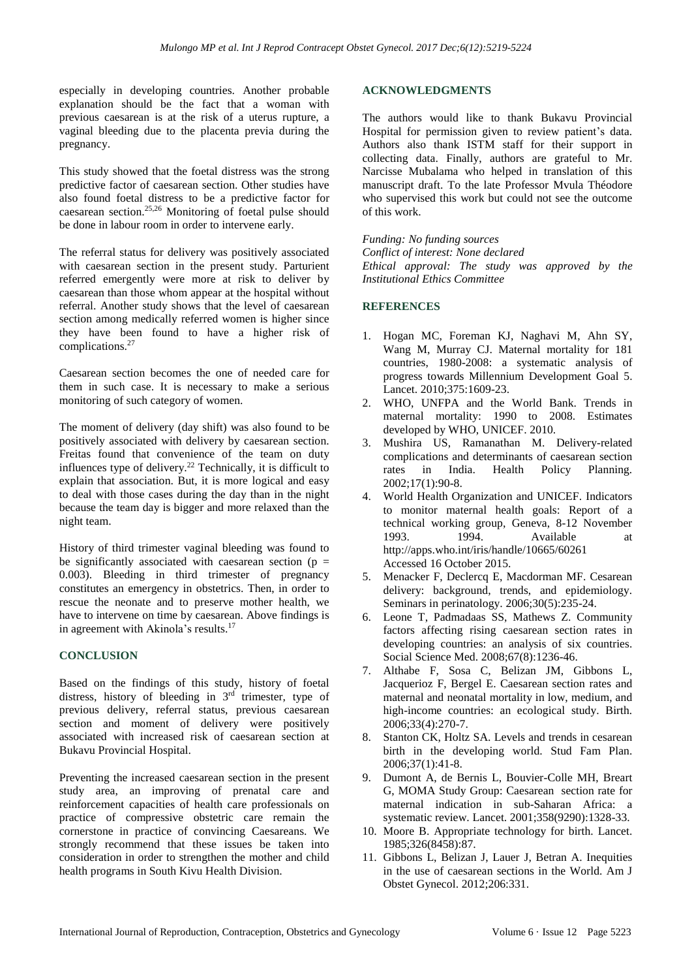especially in developing countries. Another probable explanation should be the fact that a woman with previous caesarean is at the risk of a uterus rupture, a vaginal bleeding due to the placenta previa during the pregnancy.

This study showed that the foetal distress was the strong predictive factor of caesarean section. Other studies have also found foetal distress to be a predictive factor for caesarean section.25,26 Monitoring of foetal pulse should be done in labour room in order to intervene early.

The referral status for delivery was positively associated with caesarean section in the present study. Parturient referred emergently were more at risk to deliver by caesarean than those whom appear at the hospital without referral. Another study shows that the level of caesarean section among medically referred women is higher since they have been found to have a higher risk of complications.<sup>27</sup>

Caesarean section becomes the one of needed care for them in such case. It is necessary to make a serious monitoring of such category of women.

The moment of delivery (day shift) was also found to be positively associated with delivery by caesarean section. Freitas found that convenience of the team on duty influences type of delivery.<sup>22</sup> Technically, it is difficult to explain that association. But, it is more logical and easy to deal with those cases during the day than in the night because the team day is bigger and more relaxed than the night team.

History of third trimester vaginal bleeding was found to be significantly associated with caesarean section ( $p =$ 0.003). Bleeding in third trimester of pregnancy constitutes an emergency in obstetrics. Then, in order to rescue the neonate and to preserve mother health, we have to intervene on time by caesarean. Above findings is in agreement with Akinola's results.<sup>17</sup>

# **CONCLUSION**

Based on the findings of this study, history of foetal distress, history of bleeding in 3<sup>rd</sup> trimester, type of previous delivery, referral status, previous caesarean section and moment of delivery were positively associated with increased risk of caesarean section at Bukavu Provincial Hospital.

Preventing the increased caesarean section in the present study area, an improving of prenatal care and reinforcement capacities of health care professionals on practice of compressive obstetric care remain the cornerstone in practice of convincing Caesareans. We strongly recommend that these issues be taken into consideration in order to strengthen the mother and child health programs in South Kivu Health Division.

#### **ACKNOWLEDGMENTS**

The authors would like to thank Bukavu Provincial Hospital for permission given to review patient's data. Authors also thank ISTM staff for their support in collecting data. Finally, authors are grateful to Mr. Narcisse Mubalama who helped in translation of this manuscript draft. To the late Professor Mvula Théodore who supervised this work but could not see the outcome of this work.

#### *Funding: No funding sources*

*Conflict of interest: None declared Ethical approval: The study was approved by the Institutional Ethics Committee*

### **REFERENCES**

- 1. Hogan MC, Foreman KJ, Naghavi M, Ahn SY, Wang M, Murray CJ. Maternal mortality for 181 countries, 1980-2008: a systematic analysis of progress towards Millennium Development Goal 5. Lancet. 2010;375:1609-23.
- 2. WHO, UNFPA and the World Bank. Trends in maternal mortality: 1990 to 2008. Estimates developed by WHO, UNICEF. 2010.
- 3. Mushira US, Ramanathan M. Delivery-related complications and determinants of caesarean section rates in India. Health Policy Planning. 2002;17(1):90-8.
- 4. World Health Organization and UNICEF. Indicators to monitor maternal health goals: Report of a technical working group, Geneva, 8-12 November 1993. 1994. Available at http://apps.who.int/iris/handle/10665/60261 Accessed 16 October 2015.
- 5. Menacker F, Declercq E, Macdorman MF. Cesarean delivery: background, trends, and epidemiology. Seminars in perinatology. 2006;30(5):235-24.
- 6. Leone T, Padmadaas SS, Mathews Z. Community factors affecting rising caesarean section rates in developing countries: an analysis of six countries. Social Science Med. 2008;67(8):1236-46.
- 7. Althabe F, Sosa C, Belizan JM, Gibbons L, Jacquerioz F, Bergel E. Caesarean section rates and maternal and neonatal mortality in low, medium, and high-income countries: an ecological study. Birth. 2006;33(4):270-7.
- 8. Stanton CK, Holtz SA. Levels and trends in cesarean birth in the developing world. Stud Fam Plan. 2006;37(1):41-8.
- 9. Dumont A, de Bernis L, Bouvier-Colle MH, Breart G, MOMA Study Group: Caesarean section rate for maternal indication in sub-Saharan Africa: a systematic review. Lancet. 2001;358(9290):1328-33.
- 10. Moore B. Appropriate technology for birth. Lancet. 1985;326(8458):87.
- 11. Gibbons L, Belizan J, Lauer J, Betran A. Inequities in the use of caesarean sections in the World. Am J Obstet Gynecol. 2012;206:331.